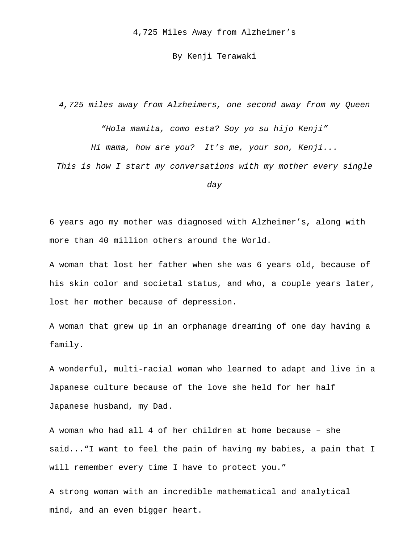4,725 Miles Away from Alzheimer's

## By Kenji Terawaki

*4,725 miles away from Alzheimers, one second away from my Queen*

*"Hola mamita, como esta? Soy yo su hijo Kenji"*

*Hi mama, how are you? It's me, your son, Kenji...*

*This is how I start my conversations with my mother every single* 

*day*

6 years ago my mother was diagnosed with Alzheimer's, along with more than 40 million others around the World.

A woman that lost her father when she was 6 years old, because of his skin color and societal status, and who, a couple years later, lost her mother because of depression.

A woman that grew up in an orphanage dreaming of one day having a family.

A wonderful, multi-racial woman who learned to adapt and live in a Japanese culture because of the love she held for her half Japanese husband, my Dad.

A woman who had all 4 of her children at home because – she said..."I want to feel the pain of having my babies, a pain that I will remember every time I have to protect you."

A strong woman with an incredible mathematical and analytical mind, and an even bigger heart.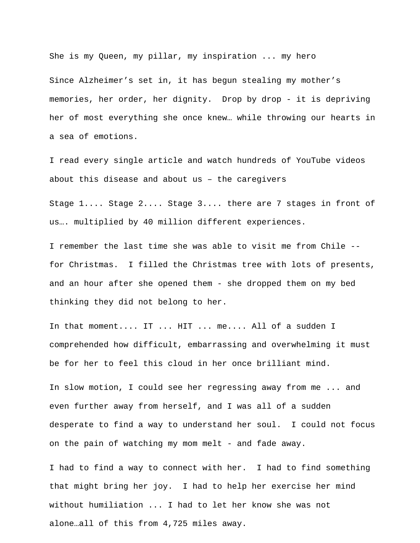She is my Queen, my pillar, my inspiration ... my hero

Since Alzheimer's set in, it has begun stealing my mother's memories, her order, her dignity. Drop by drop - it is depriving her of most everything she once knew… while throwing our hearts in a sea of emotions.

I read every single article and watch hundreds of YouTube videos about this disease and about us – the caregivers

Stage 1.... Stage 2.... Stage 3.... there are 7 stages in front of us…. multiplied by 40 million different experiences.

I remember the last time she was able to visit me from Chile - for Christmas. I filled the Christmas tree with lots of presents, and an hour after she opened them - she dropped them on my bed thinking they did not belong to her.

In that moment.... IT ... HIT ... me.... All of a sudden I comprehended how difficult, embarrassing and overwhelming it must be for her to feel this cloud in her once brilliant mind.

In slow motion, I could see her regressing away from me ... and even further away from herself, and I was all of a sudden desperate to find a way to understand her soul. I could not focus on the pain of watching my mom melt - and fade away.

I had to find a way to connect with her. I had to find something that might bring her joy. I had to help her exercise her mind without humiliation ... I had to let her know she was not alone…all of this from 4,725 miles away.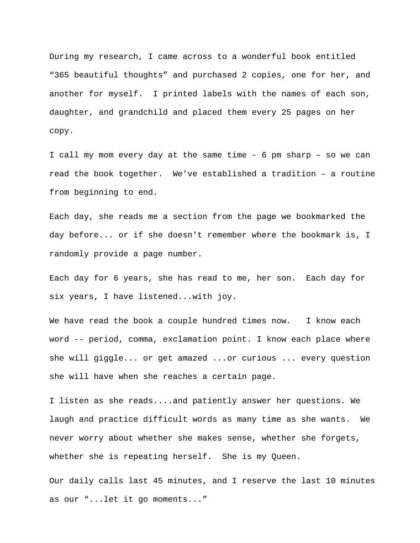During my research, I came across to a wonderful book entitled "365 beautiful thoughts" and purchased 2 copies, one for her, and another for myself. I printed labels with the names of each son, daughter, and grandchild and placed them every 25 pages on her copy.

I call my mom every day at the same time - 6 pm sharp – so we can read the book together. We've established a tradition – a routine from beginning to end.

Each day, she reads me a section from the page we bookmarked the day before... or if she doesn't remember where the bookmark is, I randomly provide a page number.

Each day for 6 years, she has read to me, her son. Each day for six years, I have listened...with joy.

We have read the book a couple hundred times now. I know each word -- period, comma, exclamation point. I know each place where she will giggle... or get amazed ...or curious ... every question she will have when she reaches a certain page.

I listen as she reads....and patiently answer her questions. We laugh and practice difficult words as many time as she wants. We never worry about whether she makes sense, whether she forgets, whether she is repeating herself. She is my Queen.

Our daily calls last 45 minutes, and I reserve the last 10 minutes as our "...let it go moments..."